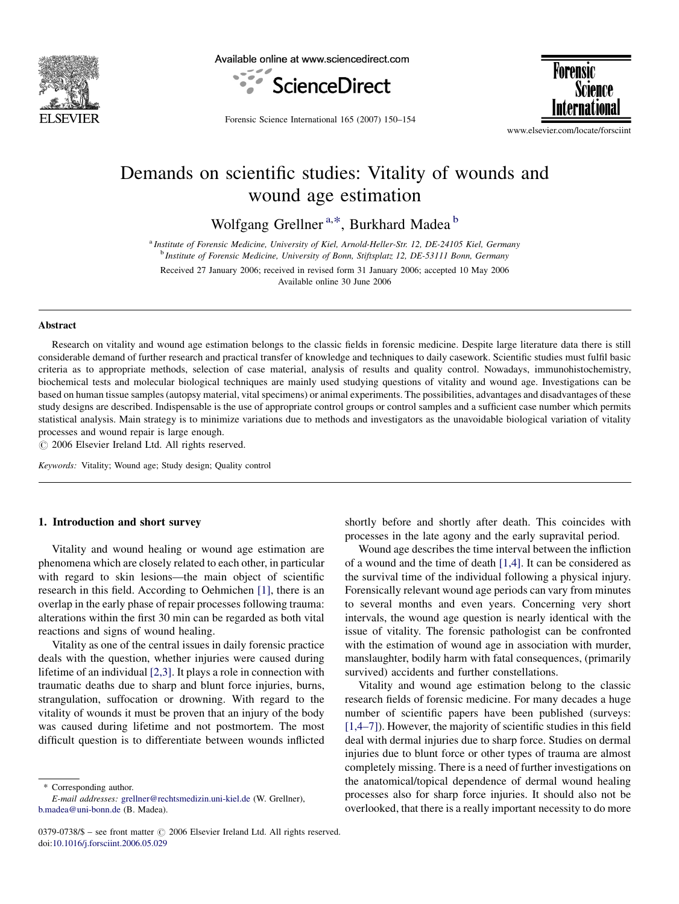

Available online at www.sciencedirect.com



**Forensic Science** 

Forensic Science International 165 (2007) 150–154

www.elsevier.com/locate/forsciint

# Demands on scientific studies: Vitality of wounds and wound age estimation

Wolfgang Grellner<sup>a,\*</sup>, Burkhard Madea<sup>b</sup>

<sup>a</sup> Institute of Forensic Medicine, University of Kiel, Arnold-Heller-Str. 12, DE-24105 Kiel, Germany <sup>b</sup> Institute of Forensic Medicine, University of Bonn, Stiftsplatz 12, DE-53111 Bonn, Germany

Received 27 January 2006; received in revised form 31 January 2006; accepted 10 May 2006 Available online 30 June 2006

## Abstract

Research on vitality and wound age estimation belongs to the classic fields in forensic medicine. Despite large literature data there is still considerable demand of further research and practical transfer of knowledge and techniques to daily casework. Scientific studies must fulfil basic criteria as to appropriate methods, selection of case material, analysis of results and quality control. Nowadays, immunohistochemistry, biochemical tests and molecular biological techniques are mainly used studying questions of vitality and wound age. Investigations can be based on human tissue samples (autopsy material, vital specimens) or animal experiments. The possibilities, advantages and disadvantages of these study designs are described. Indispensable is the use of appropriate control groups or control samples and a sufficient case number which permits statistical analysis. Main strategy is to minimize variations due to methods and investigators as the unavoidable biological variation of vitality processes and wound repair is large enough.

 $\circ$  2006 Elsevier Ireland Ltd. All rights reserved.

Keywords: Vitality; Wound age; Study design; Quality control

## 1. Introduction and short survey

Vitality and wound healing or wound age estimation are phenomena which are closely related to each other, in particular with regard to skin lesions—the main object of scientific research in this field. According to Oehmichen [\[1\]](#page-4-0), there is an overlap in the early phase of repair processes following trauma: alterations within the first 30 min can be regarded as both vital reactions and signs of wound healing.

Vitality as one of the central issues in daily forensic practice deals with the question, whether injuries were caused during lifetime of an individual [\[2,3\].](#page-4-0) It plays a role in connection with traumatic deaths due to sharp and blunt force injuries, burns, strangulation, suffocation or drowning. With regard to the vitality of wounds it must be proven that an injury of the body was caused during lifetime and not postmortem. The most difficult question is to differentiate between wounds inflicted shortly before and shortly after death. This coincides with processes in the late agony and the early supravital period.

Wound age describes the time interval between the infliction of a wound and the time of death [\[1,4\]](#page-4-0). It can be considered as the survival time of the individual following a physical injury. Forensically relevant wound age periods can vary from minutes to several months and even years. Concerning very short intervals, the wound age question is nearly identical with the issue of vitality. The forensic pathologist can be confronted with the estimation of wound age in association with murder, manslaughter, bodily harm with fatal consequences, (primarily survived) accidents and further constellations.

Vitality and wound age estimation belong to the classic research fields of forensic medicine. For many decades a huge number of scientific papers have been published (surveys: [\[1,4–7\]\)](#page-4-0). However, the majority of scientific studies in this field deal with dermal injuries due to sharp force. Studies on dermal injuries due to blunt force or other types of trauma are almost completely missing. There is a need of further investigations on the anatomical/topical dependence of dermal wound healing processes also for sharp force injuries. It should also not be overlooked, that there is a really important necessity to do more

<sup>\*</sup> Corresponding author.

E-mail addresses: [grellner@rechtsmedizin.uni-kiel.de](mailto:grellner@rechtsmedizin.uni-kiel.de) (W. Grellner), [b.madea@uni-bonn.de](mailto:b.madea@uni-bonn.de) (B. Madea).

<sup>0379-0738/\$ –</sup> see front matter  $\odot$  2006 Elsevier Ireland Ltd. All rights reserved. doi[:10.1016/j.forsciint.2006.05.029](http://dx.doi.org/10.1016/j.forsciint.2006.05.029)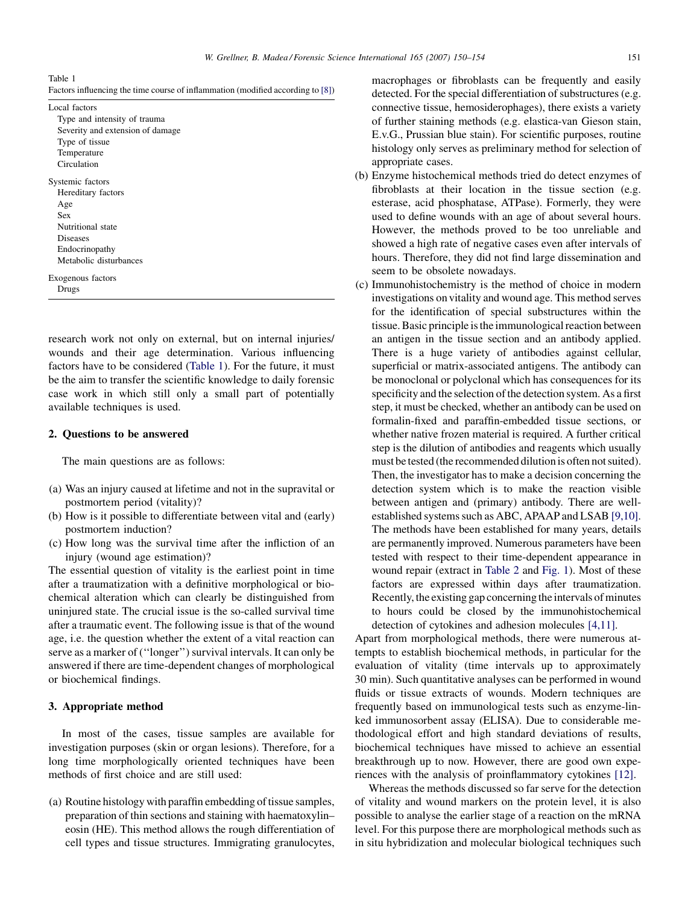Table 1

| Factors influencing the time course of inflammation (modified according to [8]) |
|---------------------------------------------------------------------------------|
|---------------------------------------------------------------------------------|

| Local factors                    |
|----------------------------------|
| Type and intensity of trauma     |
| Severity and extension of damage |
| Type of tissue                   |
| Temperature                      |
| Circulation                      |
| Systemic factors                 |
| Hereditary factors               |
| Age                              |
| <b>Sex</b>                       |
| Nutritional state                |
| <b>Diseases</b>                  |
| Endocrinopathy                   |
| Metabolic disturbances           |
| Exogenous factors                |
| Drugs                            |

research work not only on external, but on internal injuries/ wounds and their age determination. Various influencing factors have to be considered (Table 1). For the future, it must be the aim to transfer the scientific knowledge to daily forensic case work in which still only a small part of potentially available techniques is used.

## 2. Questions to be answered

The main questions are as follows:

- (a) Was an injury caused at lifetime and not in the supravital or postmortem period (vitality)?
- (b) How is it possible to differentiate between vital and (early) postmortem induction?
- (c) How long was the survival time after the infliction of an injury (wound age estimation)?

The essential question of vitality is the earliest point in time after a traumatization with a definitive morphological or biochemical alteration which can clearly be distinguished from uninjured state. The crucial issue is the so-called survival time after a traumatic event. The following issue is that of the wound age, i.e. the question whether the extent of a vital reaction can serve as a marker of (''longer'') survival intervals. It can only be answered if there are time-dependent changes of morphological or biochemical findings.

## 3. Appropriate method

In most of the cases, tissue samples are available for investigation purposes (skin or organ lesions). Therefore, for a long time morphologically oriented techniques have been methods of first choice and are still used:

(a) Routine histology with paraffin embedding of tissue samples, preparation of thin sections and staining with haematoxylin– eosin (HE). This method allows the rough differentiation of cell types and tissue structures. Immigrating granulocytes,

macrophages or fibroblasts can be frequently and easily detected. For the special differentiation of substructures (e.g. connective tissue, hemosiderophages), there exists a variety of further staining methods (e.g. elastica-van Gieson stain, E.v.G., Prussian blue stain). For scientific purposes, routine histology only serves as preliminary method for selection of appropriate cases.

- (b) Enzyme histochemical methods tried do detect enzymes of fibroblasts at their location in the tissue section (e.g. esterase, acid phosphatase, ATPase). Formerly, they were used to define wounds with an age of about several hours. However, the methods proved to be too unreliable and showed a high rate of negative cases even after intervals of hours. Therefore, they did not find large dissemination and seem to be obsolete nowadays.
- (c) Immunohistochemistry is the method of choice in modern investigations on vitality and wound age. This method serves for the identification of special substructures within the tissue. Basic principle is the immunological reaction between an antigen in the tissue section and an antibody applied. There is a huge variety of antibodies against cellular, superficial or matrix-associated antigens. The antibody can be monoclonal or polyclonal which has consequences for its specificity and the selection of the detection system. As a first step, it must be checked, whether an antibody can be used on formalin-fixed and paraffin-embedded tissue sections, or whether native frozen material is required. A further critical step is the dilution of antibodies and reagents which usually must be tested (the recommended dilution is often not suited). Then, the investigator has to make a decision concerning the detection system which is to make the reaction visible between antigen and (primary) antibody. There are wellestablished systems such as ABC, APAAP and LSAB [\[9,10\]](#page-4-0). The methods have been established for many years, details are permanently improved. Numerous parameters have been tested with respect to their time-dependent appearance in wound repair (extract in [Table 2](#page-2-0) and [Fig. 1](#page-2-0)). Most of these factors are expressed within days after traumatization. Recently, the existing gap concerning the intervals of minutes to hours could be closed by the immunohistochemical detection of cytokines and adhesion molecules [\[4,11\].](#page-4-0)

Apart from morphological methods, there were numerous attempts to establish biochemical methods, in particular for the evaluation of vitality (time intervals up to approximately 30 min). Such quantitative analyses can be performed in wound fluids or tissue extracts of wounds. Modern techniques are frequently based on immunological tests such as enzyme-linked immunosorbent assay (ELISA). Due to considerable methodological effort and high standard deviations of results, biochemical techniques have missed to achieve an essential breakthrough up to now. However, there are good own experiences with the analysis of proinflammatory cytokines [\[12\].](#page-4-0)

Whereas the methods discussed so far serve for the detection of vitality and wound markers on the protein level, it is also possible to analyse the earlier stage of a reaction on the mRNA level. For this purpose there are morphological methods such as in situ hybridization and molecular biological techniques such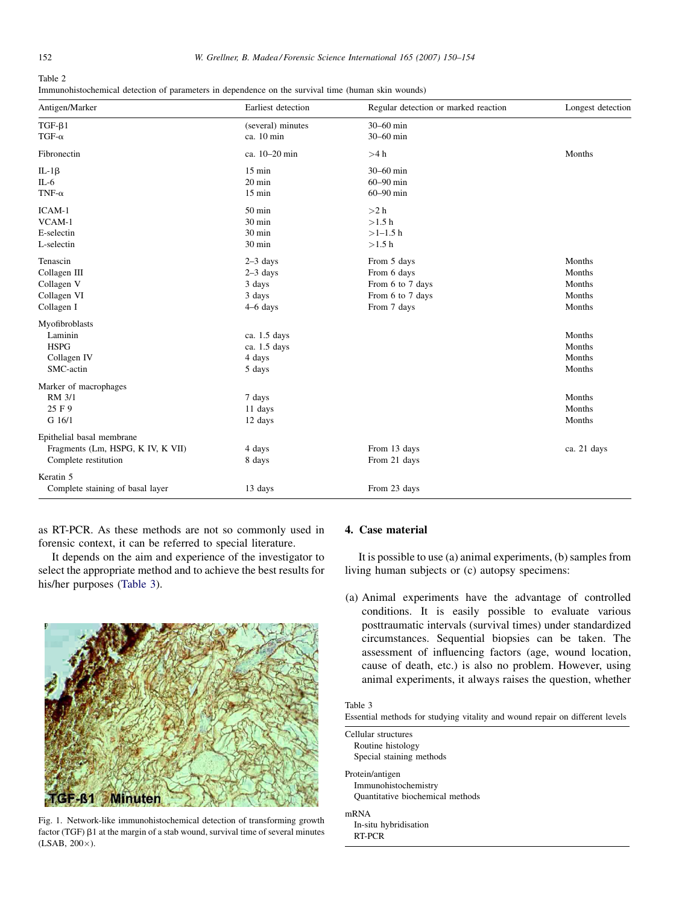<span id="page-2-0"></span>

| Table 2                                                                                            |
|----------------------------------------------------------------------------------------------------|
| Immunohistochemical detection of parameters in dependence on the survival time (human skin wounds) |

| Antigen/Marker                    | Earliest detection | Regular detection or marked reaction | Longest detection |
|-----------------------------------|--------------------|--------------------------------------|-------------------|
| $TGF-\beta1$                      | (several) minutes  | 30-60 min                            |                   |
| TGF- $\alpha$                     | ca. 10 min         | 30-60 min                            |                   |
| Fibronectin                       | ca. 10-20 min      | >4 h                                 | Months            |
| IL-1 $\beta$                      | $15 \text{ min}$   | 30-60 min                            |                   |
| $IL-6$                            | $20 \text{ min}$   | $60 - 90$ min                        |                   |
| TNF- $\alpha$                     | $15 \text{ min}$   | 60-90 min                            |                   |
| ICAM-1                            | 50 min             | >2 h                                 |                   |
| VCAM-1                            | $30 \text{ min}$   | $>1.5$ h                             |                   |
| E-selectin                        | $30 \text{ min}$   | $>1-1.5$ h                           |                   |
| L-selectin                        | 30 min             | >1.5 h                               |                   |
| Tenascin                          | $2-3$ days         | From 5 days                          | Months            |
| Collagen III                      | $2-3$ days         | From 6 days                          | Months            |
| Collagen V                        | 3 days             | From 6 to 7 days                     | Months            |
| Collagen VI                       | 3 days             | From 6 to 7 days                     | Months            |
| Collagen I                        | $4-6$ days         | From 7 days                          | Months            |
| Myofibroblasts                    |                    |                                      |                   |
| Laminin                           | ca. 1.5 days       |                                      | Months            |
| <b>HSPG</b>                       | ca. 1.5 days       |                                      | Months            |
| Collagen IV                       | 4 days             |                                      | Months            |
| SMC-actin                         | 5 days             |                                      | Months            |
| Marker of macrophages             |                    |                                      |                   |
| RM 3/1                            | 7 days             |                                      | Months            |
| 25 F 9                            | 11 days            |                                      | Months            |
| G 16/1                            | 12 days            |                                      | Months            |
| Epithelial basal membrane         |                    |                                      |                   |
| Fragments (Lm, HSPG, K IV, K VII) | 4 days             | From 13 days                         | ca. 21 days       |
| Complete restitution              | 8 days             | From 21 days                         |                   |
| Keratin 5                         |                    |                                      |                   |
| Complete staining of basal layer  | 13 days            | From 23 days                         |                   |

as RT-PCR. As these methods are not so commonly used in forensic context, it can be referred to special literature.

It depends on the aim and experience of the investigator to select the appropriate method and to achieve the best results for his/her purposes (Table 3).



Fig. 1. Network-like immunohistochemical detection of transforming growth factor (TGF)  $\beta$ 1 at the margin of a stab wound, survival time of several minutes  $(LSAB, 200\times)$ .

## 4. Case material

It is possible to use (a) animal experiments, (b) samples from living human subjects or (c) autopsy specimens:

(a) Animal experiments have the advantage of controlled conditions. It is easily possible to evaluate various posttraumatic intervals (survival times) under standardized circumstances. Sequential biopsies can be taken. The assessment of influencing factors (age, wound location, cause of death, etc.) is also no problem. However, using animal experiments, it always raises the question, whether

Essential methods for studying vitality and wound repair on different levels

| Cellular structures              |  |
|----------------------------------|--|
| Routine histology                |  |
| Special staining methods         |  |
| Protein/antigen                  |  |
| Immunohistochemistry             |  |
| Quantitative biochemical methods |  |
| mRNA                             |  |
| In-situ hybridisation            |  |
| RT-PCR                           |  |
|                                  |  |

Table 3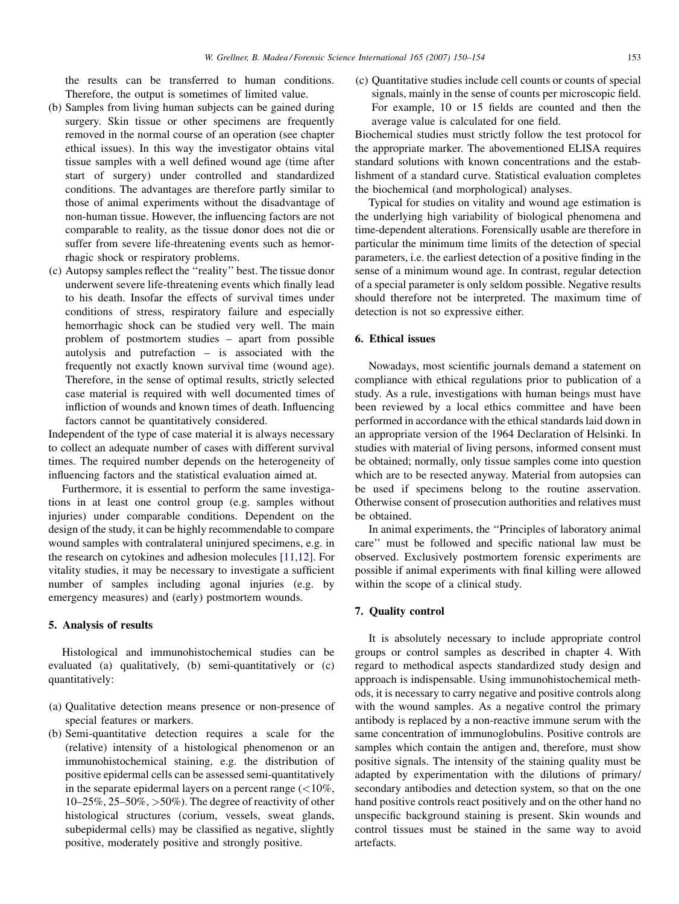the results can be transferred to human conditions. Therefore, the output is sometimes of limited value.

- (b) Samples from living human subjects can be gained during surgery. Skin tissue or other specimens are frequently removed in the normal course of an operation (see chapter ethical issues). In this way the investigator obtains vital tissue samples with a well defined wound age (time after start of surgery) under controlled and standardized conditions. The advantages are therefore partly similar to those of animal experiments without the disadvantage of non-human tissue. However, the influencing factors are not comparable to reality, as the tissue donor does not die or suffer from severe life-threatening events such as hemorrhagic shock or respiratory problems.
- (c) Autopsy samples reflect the ''reality'' best. The tissue donor underwent severe life-threatening events which finally lead to his death. Insofar the effects of survival times under conditions of stress, respiratory failure and especially hemorrhagic shock can be studied very well. The main problem of postmortem studies – apart from possible autolysis and putrefaction – is associated with the frequently not exactly known survival time (wound age). Therefore, in the sense of optimal results, strictly selected case material is required with well documented times of infliction of wounds and known times of death. Influencing factors cannot be quantitatively considered.

Independent of the type of case material it is always necessary to collect an adequate number of cases with different survival times. The required number depends on the heterogeneity of influencing factors and the statistical evaluation aimed at.

Furthermore, it is essential to perform the same investigations in at least one control group (e.g. samples without injuries) under comparable conditions. Dependent on the design of the study, it can be highly recommendable to compare wound samples with contralateral uninjured specimens, e.g. in the research on cytokines and adhesion molecules [\[11,12\].](#page-4-0) For vitality studies, it may be necessary to investigate a sufficient number of samples including agonal injuries (e.g. by emergency measures) and (early) postmortem wounds.

## 5. Analysis of results

Histological and immunohistochemical studies can be evaluated (a) qualitatively, (b) semi-quantitatively or (c) quantitatively:

- (a) Qualitative detection means presence or non-presence of special features or markers.
- (b) Semi-quantitative detection requires a scale for the (relative) intensity of a histological phenomenon or an immunohistochemical staining, e.g. the distribution of positive epidermal cells can be assessed semi-quantitatively in the separate epidermal layers on a percent range  $(<10\%$ , 10–25%, 25–50%, >50%). The degree of reactivity of other histological structures (corium, vessels, sweat glands, subepidermal cells) may be classified as negative, slightly positive, moderately positive and strongly positive.

(c) Quantitative studies include cell counts or counts of special signals, mainly in the sense of counts per microscopic field. For example, 10 or 15 fields are counted and then the average value is calculated for one field.

Biochemical studies must strictly follow the test protocol for the appropriate marker. The abovementioned ELISA requires standard solutions with known concentrations and the establishment of a standard curve. Statistical evaluation completes the biochemical (and morphological) analyses.

Typical for studies on vitality and wound age estimation is the underlying high variability of biological phenomena and time-dependent alterations. Forensically usable are therefore in particular the minimum time limits of the detection of special parameters, i.e. the earliest detection of a positive finding in the sense of a minimum wound age. In contrast, regular detection of a special parameter is only seldom possible. Negative results should therefore not be interpreted. The maximum time of detection is not so expressive either.

## 6. Ethical issues

Nowadays, most scientific journals demand a statement on compliance with ethical regulations prior to publication of a study. As a rule, investigations with human beings must have been reviewed by a local ethics committee and have been performed in accordance with the ethical standards laid down in an appropriate version of the 1964 Declaration of Helsinki. In studies with material of living persons, informed consent must be obtained; normally, only tissue samples come into question which are to be resected anyway. Material from autopsies can be used if specimens belong to the routine asservation. Otherwise consent of prosecution authorities and relatives must be obtained.

In animal experiments, the ''Principles of laboratory animal care'' must be followed and specific national law must be observed. Exclusively postmortem forensic experiments are possible if animal experiments with final killing were allowed within the scope of a clinical study.

## 7. Quality control

It is absolutely necessary to include appropriate control groups or control samples as described in chapter 4. With regard to methodical aspects standardized study design and approach is indispensable. Using immunohistochemical methods, it is necessary to carry negative and positive controls along with the wound samples. As a negative control the primary antibody is replaced by a non-reactive immune serum with the same concentration of immunoglobulins. Positive controls are samples which contain the antigen and, therefore, must show positive signals. The intensity of the staining quality must be adapted by experimentation with the dilutions of primary/ secondary antibodies and detection system, so that on the one hand positive controls react positively and on the other hand no unspecific background staining is present. Skin wounds and control tissues must be stained in the same way to avoid artefacts.